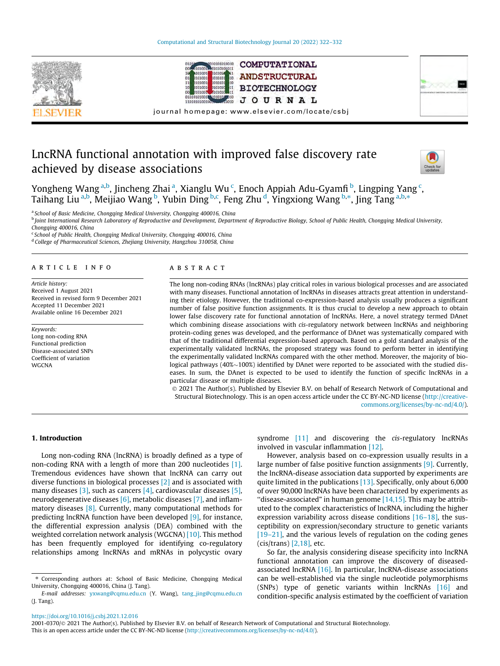





journal homepage: [www.elsevier.com/locate/csbj](http://www.elsevier.com/locate/csbj)

# LncRNA functional annotation with improved false discovery rate achieved by disease associations



Yongheng Wang <sup>a,b</sup>, Jincheng Zhai <sup>a</sup>, Xianglu Wu <sup>c</sup>, Enoch Appiah Adu-Gyamfi <sup>b</sup>, Lingping Yang <sup>c</sup>, Taihang Liu <sup>a,b</sup>, Meijiao Wang <sup>b</sup>, Yubin Ding <sup>b,c</sup>, Feng Zhu <sup>d</sup>, Yingxiong Wang <sup>b,\*</sup>, Jing Tang <sup>a,b,\*</sup>

<sup>a</sup> School of Basic Medicine, Chongqing Medical University, Chongqing 400016, China

**b** Joint International Research Laboratory of Reproductive and Development, Department of Reproductive Biology, School of Public Health, Chongqing Medical University, Chongqing 400016, China

<sup>c</sup> School of Public Health, Chongqing Medical University, Chongqing 400016, China <sup>d</sup> College of Pharmaceutical Sciences, Zhejiang University, Hangzhou 310058, China

#### article info

Article history: Received 1 August 2021 Received in revised form 9 December 2021 Accepted 11 December 2021 Available online 16 December 2021

Keywords: Long non-coding RNA Functional prediction Disease-associated SNPs Coefficient of variation **WGCNA** 

#### ABSTRACT

The long non-coding RNAs (lncRNAs) play critical roles in various biological processes and are associated with many diseases. Functional annotation of lncRNAs in diseases attracts great attention in understanding their etiology. However, the traditional co-expression-based analysis usually produces a significant number of false positive function assignments. It is thus crucial to develop a new approach to obtain lower false discovery rate for functional annotation of lncRNAs. Here, a novel strategy termed DAnet which combining disease associations with cis-regulatory network between lncRNAs and neighboring protein-coding genes was developed, and the performance of DAnet was systematically compared with that of the traditional differential expression-based approach. Based on a gold standard analysis of the experimentally validated lncRNAs, the proposed strategy was found to perform better in identifying the experimentally validated lncRNAs compared with the other method. Moreover, the majority of biological pathways (40% $\sim$ 100%) identified by DAnet were reported to be associated with the studied diseases. In sum, the DAnet is expected to be used to identify the function of specific lncRNAs in a particular disease or multiple diseases.

 2021 The Author(s). Published by Elsevier B.V. on behalf of Research Network of Computational and Structural Biotechnology. This is an open access article under the CC BY-NC-ND license [\(http://creative](http://creativecommons.org/licenses/by-nc-nd/4.0/)[commons.org/licenses/by-nc-nd/4.0/](http://creativecommons.org/licenses/by-nc-nd/4.0/)).

#### 1. Introduction

Long non-coding RNA (lncRNA) is broadly defined as a type of non-coding RNA with a length of more than 200 nucleotides [\[1\].](#page-8-0) Tremendous evidences have shown that lncRNA can carry out diverse functions in biological processes [\[2\]](#page-8-0) and is associated with many diseases [\[3\]](#page-8-0), such as cancers [\[4\]](#page-8-0), cardiovascular diseases [\[5\],](#page-8-0) neurodegenerative diseases [\[6\]](#page-8-0), metabolic diseases [\[7\]](#page-8-0), and inflammatory diseases [\[8\]](#page-8-0). Currently, many computational methods for predicting lncRNA function have been developed [\[9\]](#page-8-0), for instance, the differential expression analysis (DEA) combined with the weighted correlation network analysis (WGCNA) [\[10\].](#page-8-0) This method has been frequently employed for identifying co-regulatory relationships among lncRNAs and mRNAs in polycystic ovary syndrome [\[11\]](#page-8-0) and discovering the cis-regulatory lncRNAs involved in vascular inflammation [\[12\].](#page-8-0)

However, analysis based on co-expression usually results in a large number of false positive function assignments [\[9\].](#page-8-0) Currently, the lncRNA-disease association data supported by experiments are quite limited in the publications [\[13\].](#page-8-0) Specifically, only about 6,000 of over 90,000 lncRNAs have been characterized by experiments as "disease-associated" in human genome  $[14,15]$ . This may be attributed to the complex characteristics of lncRNA, including the higher expression variability across disease conditions [\[16–18\],](#page-8-0) the susceptibility on expression/secondary structure to genetic variants [\[19–21\]](#page-8-0), and the various levels of regulation on the coding genes (cis/trans) [\[2,18\],](#page-8-0) etc.

So far, the analysis considering disease specificity into lncRNA functional annotation can improve the discovery of diseasedassociated lncRNA [\[16\]](#page-8-0). In particular, lncRNA-disease associations can be well-established via the single nucleotide polymorphisms (SNPs) type of genetic variants within lncRNAs [\[16\]](#page-8-0) and condition-specific analysis estimated by the coefficient of variation

#### <https://doi.org/10.1016/j.csbj.2021.12.016>

<sup>⇑</sup> Corresponding authors at: School of Basic Medicine, Chongqing Medical University, Chongqing 400016, China (J. Tang).

E-mail addresses: [yxwang@cqmu.edu.cn](mailto:yxwang@cqmu.edu.cn) (Y. Wang), [tang\\_jing@cqmu.edu.cn](mailto:tang_jing@cqmu.edu.cn) (J. Tang).

<sup>2001-0370/ 2021</sup> The Author(s). Published by Elsevier B.V. on behalf of Research Network of Computational and Structural Biotechnology. This is an open access article under the CC BY-NC-ND license ([http://creativecommons.org/licenses/by-nc-nd/4.0/\)](http://creativecommons.org/licenses/by-nc-nd/4.0/).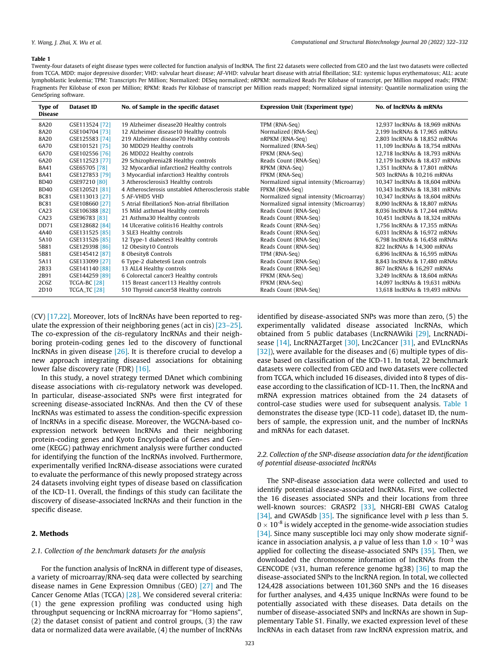#### <span id="page-1-0"></span>Table 1

Twenty-four datasets of eight disease types were collected for function analysis of lncRNA. The first 22 datasets were collected from GEO and the last two datasets were collected from TCGA. MDD: major depressive disorder; VHD: valvular heart disease; AF-VHD: valvular heart disease with atrial fibrillation; SLE: systemic lupus erythematosus; ALL: acute lymphoblastic leukemia; TPM: Transcripts Per Million; Normalized: DESeq normalized; nRPKM: normalized Reads Per Kilobase of transcript, per Million mapped reads; FPKM: Fragments Per Kilobase of exon per Million; RPKM: Reads Per Kilobase of transcript per Million reads mapped; Normalized signal intensity: Quantile normalization using the GeneSpring software.

| Type of<br><b>Disease</b> | Dataset ID          | No. of Sample in the specific dataset              | <b>Expression Unit (Experiment type)</b> | No. of IncRNAs & mRNAs        |
|---------------------------|---------------------|----------------------------------------------------|------------------------------------------|-------------------------------|
| 8A20                      | GSE113524 [72]      | 19 Alzheimer disease20 Healthy controls            | TPM (RNA-Seq)                            | 12,937 IncRNAs & 18,969 mRNAs |
| 8A20                      | GSE104704 [73]      | 12 Alzheimer disease10 Healthy controls            | Normalized (RNA-Seq)                     | 2,199 lncRNAs & 17,965 mRNAs  |
| 8A20                      | GSE125583 [74]      | 219 Alzheimer disease70 Healthy controls           | nRPKM (RNA-Seq)                          | 2,803 IncRNAs & 18,852 mRNAs  |
| 6A70                      | GSE101521 [75]      | 30 MDD29 Healthy controls                          | Normalized (RNA-Seq)                     | 11,109 lncRNAs & 18,754 mRNAs |
| 6A70                      | GSE102556 [76]      | 26 MDD22 Healthy controls                          | FPKM (RNA-Seq)                           | 12,718 IncRNAs & 18,793 mRNAs |
| 6A20                      | GSE112523 [77]      | 29 Schizophrenia28 Healthy controls                | Reads Count (RNA-Seq)                    | 12,179 IncRNAs & 18,437 mRNAs |
| <b>BA41</b>               | GSE65705 [78]       | 32 Myocardial infarction2 Healthy controls         | RPKM (RNA-Seq)                           | 1,351 lncRNAs & 17,801 mRNAs  |
| <b>BA41</b>               | GSE127853 [79]      | 3 Myocardial infarction3 Healthy controls          | FPKM (RNA-Seq)                           | 503 IncRNAs & 10.216 mRNAs    |
| <b>BD40</b>               | GSE97210 [80]       | 3 Atherosclerosis3 Healthy controls                | Normalized signal intensity (Microarray) | 10,347 IncRNAs & 18,604 mRNAs |
| <b>BD40</b>               | GSE120521 [81]      | 4 Atherosclerosis unstable4 Atherosclerosis stable | FPKM (RNA-Seq)                           | 10,343 IncRNAs & 18,381 mRNAs |
| <b>BC81</b>               | GSE113013 [27]      | 5 AF-VHD5 VHD                                      | Normalized signal intensity (Microarray) | 10,347 IncRNAs & 18,604 mRNAs |
| <b>BC81</b>               | GSE108660 [27]      | 5 Atrial fibrillation5 Non-atrial fibrillation     | Normalized signal intensity (Microarray) | 8,090 lncRNAs & 18,807 mRNAs  |
| CA23                      | GSE106388 [82]      | 15 Mild asthma4 Healthy controls                   | Reads Count (RNA-Seq)                    | 8,036 IncRNAs & 17,244 mRNAs  |
| CA23                      | GSE96783 [83]       | 21 Asthma30 Healthy controls                       | Reads Count (RNA-Seq)                    | 10,451 lncRNAs & 18,324 mRNAs |
| DD71                      | GSE128682 [84]      | 14 Ulcerative colitis16 Healthy controls           | Reads Count (RNA-Seq)                    | 1,756 IncRNAs & 17,355 mRNAs  |
| 4A40                      | GSE131525 [85]      | 3 SLE3 Healthy controls                            | Reads Count (RNA-Seq)                    | 6,031 lncRNAs & 16,972 mRNAs  |
| 5A10                      | GSE131526 [85]      | 12 Type-1 diabetes3 Healthy controls               | Reads Count (RNA-Seq)                    | 6,798 lncRNAs & 16,458 mRNAs  |
| 5B81                      | GSE129398 [86]      | 12 Obesity10 Controls                              | Reads Count (RNA-Seq)                    | 822 IncRNAs & 14,300 mRNAs    |
| 5B81                      | GSE145412 [87]      | 8 Obesity8 Controls                                | TPM (RNA-Seq)                            | 6,896 lncRNAs & 16,595 mRNAs  |
| 5A11                      | GSE133099 [27]      | 6 Type-2 diabetes6 Lean controls                   | Reads Count (RNA-Seq)                    | 8,843 IncRNAs & 17,480 mRNAs  |
| 2B33                      | GSE141140 [88]      | 13 ALL4 Healthy controls                           | Reads Count (RNA-Seq)                    | 867 IncRNAs & 16,297 mRNAs    |
| 2B91                      | GSE144259 [89]      | 6 Colorectal cancer3 Healthy controls              | FPKM (RNA-Seq)                           | 3,249 lncRNAs & 18,604 mRNAs  |
| 2C6Z                      | TCGA-BC [28]        | 115 Breast cancer113 Healthy controls              | FPKM (RNA-Seq)                           | 14,097 lncRNAs & 19,631 mRNAs |
| 2D10                      | <b>TCGA_TC</b> [28] | 510 Thyroid cancer58 Healthy controls              | Reads Count (RNA-Seq)                    | 13,618 IncRNAs & 19,493 mRNAs |
|                           |                     |                                                    |                                          |                               |

(CV) [\[17,22\]](#page-8-0). Moreover, lots of lncRNAs have been reported to regulate the expression of their neighboring genes (act in cis) [\[23–25\].](#page-8-0) The co-expression of the cis-regulatory lncRNAs and their neighboring protein-coding genes led to the discovery of functional lncRNAs in given disease [\[26\].](#page-8-0) It is therefore crucial to develop a new approach integrating diseased associations for obtaining lower false discovery rate (FDR) [\[16\]](#page-8-0).

In this study, a novel strategy termed DAnet which combining disease associations with cis-regulatory network was developed. In particular, disease-associated SNPs were first integrated for screening disease-associated lncRNAs. And then the CV of these lncRNAs was estimated to assess the condition-specific expression of lncRNAs in a specific disease. Moreover, the WGCNA-based coexpression network between lncRNAs and their neighboring protein-coding genes and Kyoto Encyclopedia of Genes and Genome (KEGG) pathway enrichment analysis were further conducted for identifying the function of the lncRNAs involved. Furthermore, experimentally verified lncRNA-disease associations were curated to evaluate the performance of this newly proposed strategy across 24 datasets involving eight types of disease based on classification of the ICD-11. Overall, the findings of this study can facilitate the discovery of disease-associated lncRNAs and their function in the specific disease.

### 2. Methods

#### 2.1. Collection of the benchmark datasets for the analysis

For the function analysis of lncRNA in different type of diseases, a variety of microarray/RNA-seq data were collected by searching disease names in Gene Expression Omnibus (GEO) [\[27\]](#page-8-0) and The Cancer Genome Atlas (TCGA) [\[28\].](#page-8-0) We considered several criteria: (1) the gene expression profiling was conducted using high throughput sequencing or lncRNA microarray for ''Homo sapiens", (2) the dataset consist of patient and control groups, (3) the raw data or normalized data were available, (4) the number of lncRNAs identified by disease-associated SNPs was more than zero, (5) the experimentally validated disease associated lncRNAs, which obtained from 5 public databases (LncRNAWiki [\[29\]](#page-8-0), LncRNADi-sease [\[14\]](#page-8-0), LncRNA2Target [\[30\]](#page-8-0), Lnc2Cancer [\[31\],](#page-8-0) and EVLncRNAs [\[32\]](#page-8-0)), were available for the diseases and (6) multiple types of disease based on classification of the ICD-11. In total, 22 benchmark datasets were collected from GEO and two datasets were collected from TCGA, which included 16 diseases, divided into 8 types of disease according to the classification of ICD-11. Then, the lncRNA and mRNA expression matrices obtained from the 24 datasets of control-case studies were used for subsequent analysis. Table 1 demonstrates the disease type (ICD-11 code), dataset ID, the numbers of sample, the expression unit, and the number of lncRNAs and mRNAs for each dataset.

# 2.2. Collection of the SNP-disease association data for the identification of potential disease-associated lncRNAs

The SNP-disease association data were collected and used to identify potential disease-associated lncRNAs. First, we collected the 16 diseases associated SNPs and their locations from three well-known sources: GRASP2 [\[33\],](#page-8-0) NHGRI-EBI GWAS Catalog [\[34\]](#page-8-0), and GWASdb [\[35\].](#page-8-0) The significance level with  $p$  less than 5.  $0 \times 10^{-8}$  is widely accepted in the genome-wide association studies [\[34\]](#page-8-0). Since many susceptible loci may only show moderate significance in association analysis, a p value of less than  $1.0 \times 10^{-3}$  was applied for collecting the disease-associated SNPs [\[35\]](#page-8-0). Then, we downloaded the chromosome information of lncRNAs from the GENCODE (v31, human reference genome hg38) [\[36\]](#page-8-0) to map the disease-associated SNPs to the lncRNA region. In total, we collected 124,428 associations between 101,360 SNPs and the 16 diseases for further analyses, and 4,435 unique lncRNAs were found to be potentially associated with these diseases. Data details on the number of disease-associated SNPs and lncRNAs are shown in Supplementary Table S1. Finally, we exacted expression level of these lncRNAs in each dataset from raw lncRNA expression matrix, and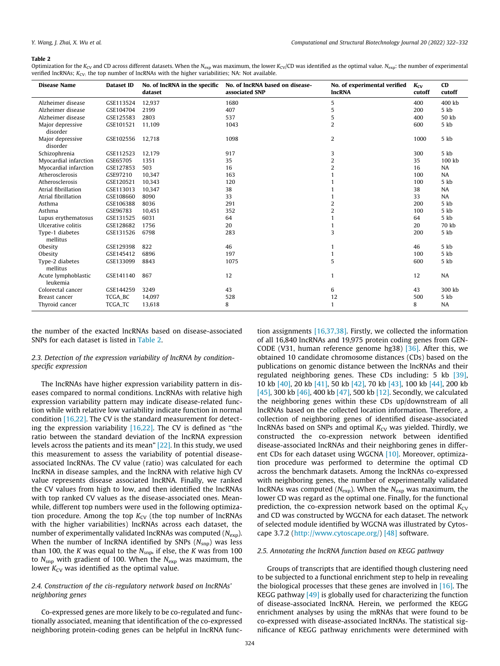#### <span id="page-2-0"></span>Table 2

Optimization for the K<sub>CV</sub> and CD across different datasets. When the N<sub>exp</sub> was maximum, the lower K<sub>CV</sub>/CD was identified as the optimal value. N<sub>exp</sub>: the number of experimental verified lncRNAs;  $K_{CV}$ : the top number of lncRNAs with the higher variabilities; NA: Not available.

| <b>Disease Name</b>             | Dataset ID | No. of lncRNA in the specific<br>dataset | No. of lncRNA based on disease-<br>associated SNP | No. of experimental verified<br><b>IncRNA</b> | $K_{CV}$<br>cutoff | <b>CD</b><br>cutoff |
|---------------------------------|------------|------------------------------------------|---------------------------------------------------|-----------------------------------------------|--------------------|---------------------|
| Alzheimer disease               | GSE113524  | 12,937                                   | 1680                                              | 5                                             | 400                | 400 kb              |
| Alzheimer disease               | GSE104704  | 2199                                     | 407                                               | 5                                             | 200                | 5 kb                |
| Alzheimer disease               | GSE125583  | 2803                                     | 537                                               | 5                                             | 400                | 50 kb               |
| Major depressive<br>disorder    | GSE101521  | 11,109                                   | 1043                                              | $\overline{2}$                                | 600                | 5 kb                |
| Major depressive<br>disorder    | GSE102556  | 12.718                                   | 1098                                              | $\overline{2}$                                | 1000               | 5 kb                |
| Schizophrenia                   | GSE112523  | 12,179                                   | 917                                               | 3                                             | 300                | 5 kb                |
| Myocardial infarction           | GSE65705   | 1351                                     | 35                                                | 2                                             | 35                 | 100 kb              |
| Myocardial infarction           | GSE127853  | 503                                      | 16                                                | $\overline{2}$                                | 16                 | NA                  |
| Atherosclerosis                 | GSE97210   | 10.347                                   | 163                                               |                                               | 100                | NA                  |
| Atherosclerosis                 | GSE120521  | 10,343                                   | 120                                               |                                               | 100                | 5 kb                |
| Atrial fibrillation             | GSE113013  | 10,347                                   | 38                                                |                                               | 38                 | <b>NA</b>           |
| Atrial fibrillation             | GSE108660  | 8090                                     | 33                                                |                                               | 33                 | NA                  |
| Asthma                          | GSE106388  | 8036                                     | 291                                               | 2                                             | 200                | 5 kb                |
| Asthma                          | GSE96783   | 10,451                                   | 352                                               | $\overline{2}$                                | 100                | 5 kb                |
| Lupus erythematosus             | GSE131525  | 6031                                     | 64                                                |                                               | 64                 | 5 kb                |
| Ulcerative colitis              | GSE128682  | 1756                                     | 20                                                |                                               | 20                 | 70 kb               |
| Type-1 diabetes<br>mellitus     | GSE131526  | 6798                                     | 283                                               | 3                                             | 200                | 5 kb                |
| Obesity                         | GSE129398  | 822                                      | 46                                                | 1                                             | 46                 | 5 kb                |
| Obesity                         | GSE145412  | 6896                                     | 197                                               | 1                                             | 100                | 5 kb                |
| Type-2 diabetes<br>mellitus     | GSE133099  | 8843                                     | 1075                                              | 5                                             | 600                | 5 kb                |
| Acute lymphoblastic<br>leukemia | GSE141140  | 867                                      | 12                                                | $\mathbf{1}$                                  | 12                 | NA                  |
| Colorectal cancer               | GSE144259  | 3249                                     | 43                                                | 6                                             | 43                 | 300 kb              |
| Breast cancer                   | TCGA_BC    | 14,097                                   | 528                                               | 12                                            | 500                | 5 kb                |
| Thyroid cancer                  | TCGA_TC    | 13,618                                   | 8                                                 | 1                                             | 8                  | NA                  |

the number of the exacted lncRNAs based on disease-associated SNPs for each dataset is listed in Table 2.

# 2.3. Detection of the expression variability of lncRNA by conditionspecific expression

The lncRNAs have higher expression variability pattern in diseases compared to normal conditions. LncRNAs with relative high expression variability pattern may indicate disease-related function while with relative low variability indicate function in normal condition [\[16,22\].](#page-8-0) The CV is the standard measurement for detecting the expression variability  $[16,22]$ . The CV is defined as "the ratio between the standard deviation of the lncRNA expression levels across the patients and its mean" [\[22\].](#page-8-0) In this study, we used this measurement to assess the variability of potential diseaseassociated lncRNAs. The CV value (ratio) was calculated for each lncRNA in disease samples, and the lncRNA with relative high CV value represents disease associated lncRNA. Finally, we ranked the CV values from high to low, and then identified the lncRNAs with top ranked CV values as the disease-associated ones. Meanwhile, different top numbers were used in the following optimization procedure. Among the top  $K_{CV}$  (the top number of lncRNAs with the higher variabilities) lncRNAs across each dataset, the number of experimentally validated lncRNAs was computed  $(N_{exp})$ . When the number of lncRNA identified by SNPs  $(N_{\text{sup}})$  was less than 100, the K was equal to the  $N_{\rm{sup}}$ , if else, the K was from 100 to  $N_{\rm{sup}}$  with gradient of 100. When the  $N_{\rm{exp}}$  was maximum, the lower  $K_{CV}$  was identified as the optimal value.

### 2.4. Construction of the cis-regulatory network based on lncRNAs' neighboring genes

Co-expressed genes are more likely to be co-regulated and functionally associated, meaning that identification of the co-expressed neighboring protein-coding genes can be helpful in lncRNA function assignments [\[16,37,38\].](#page-8-0) Firstly, we collected the information of all 16,840 lncRNAs and 19,975 protein coding genes from GEN-CODE (V31, human reference genome hg38) [\[36\].](#page-8-0) After this, we obtained 10 candidate chromosome distances (CDs) based on the publications on genomic distance between the lncRNAs and their regulated neighboring genes. These CDs including: 5 kb [\[39\],](#page-8-0) 10 kb [\[40\]](#page-8-0), 20 kb [\[41\]](#page-9-0), 50 kb [\[42\]](#page-9-0), 70 kb [\[43\]](#page-9-0), 100 kb [\[44\]](#page-9-0), 200 kb [\[45\]](#page-9-0), 300 kb [\[46\]](#page-9-0), 400 kb [\[47\],](#page-9-0) 500 kb [\[12\].](#page-8-0) Secondly, we calculated the neighboring genes within these CDs up/downstream of all lncRNAs based on the collected location information. Therefore, a collection of neighboring genes of identified disease-associated lncRNAs based on SNPs and optimal  $K_{CV}$  was yielded. Thirdly, we constructed the co-expression network between identified disease-associated lncRNAs and their neighboring genes in different CDs for each dataset using WGCNA [\[10\]](#page-8-0). Moreover, optimization procedure was performed to determine the optimal CD across the benchmark datasets. Among the lncRNAs co-expressed with neighboring genes, the number of experimentally validated lncRNAs was computed ( $N_{\rm exp}$ ). When the  $N_{\rm exp}$  was maximum, the lower CD was regard as the optimal one. Finally, for the functional prediction, the co-expression network based on the optimal  $K<sub>CV</sub>$ and CD was constructed by WGCNA for each dataset. The network of selected module identified by WGCNA was illustrated by Cytoscape 3.7.2 [\(http://www.cytoscape.org/](http://www.cytoscape.org/)) [\[48\]](#page-9-0) software.

#### 2.5. Annotating the lncRNA function based on KEGG pathway

Groups of transcripts that are identified though clustering need to be subjected to a functional enrichment step to help in revealing the biological processes that these genes are involved in  $[16]$ . The KEGG pathway [\[49\]](#page-9-0) is globally used for characterizing the function of disease-associated lncRNA. Herein, we performed the KEGG enrichment analyses by using the mRNAs that were found to be co-expressed with disease-associated lncRNAs. The statistical significance of KEGG pathway enrichments were determined with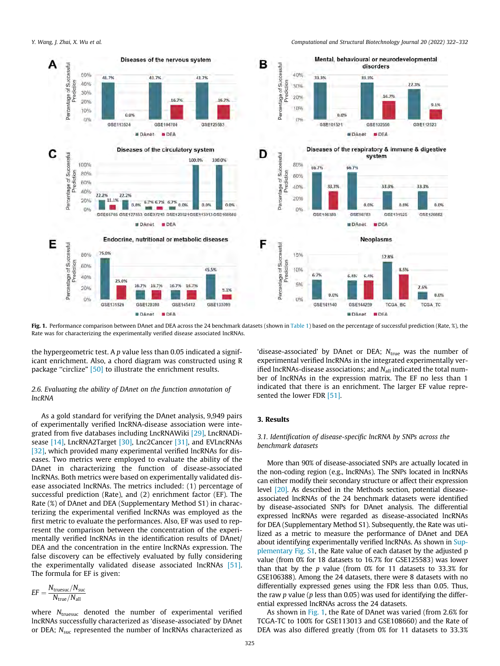

Fig. 1. Performance comparison between DAnet and DEA across the 24 benchmark datasets (shown in [Table 1](#page-1-0)) based on the percentage of successful prediction (Rate, %), the Rate was for characterizing the experimentally verified disease associated lncRNAs.

the hypergeometric test. A  $p$  value less than 0.05 indicated a significant enrichment. Also, a chord diagram was constructed using R package "circlize" [\[50\]](#page-9-0) to illustrate the enrichment results.

### 2.6. Evaluating the ability of DAnet on the function annotation of lncRNA

As a gold standard for verifying the DAnet analysis, 9,949 pairs of experimentally verified lncRNA-disease association were integrated from five databases including LncRNAWiki [\[29\]](#page-8-0), LncRNADi-sease [\[14\]](#page-8-0), LncRNA2Target [\[30\]](#page-8-0), Lnc2Cancer [\[31\],](#page-8-0) and EVLncRNAs [\[32\]](#page-8-0), which provided many experimental verified lncRNAs for diseases. Two metrics were employed to evaluate the ability of the DAnet in characterizing the function of disease-associated lncRNAs. Both metrics were based on experimentally validated disease associated lncRNAs. The metrics included: (1) percentage of successful prediction (Rate), and (2) enrichment factor (EF). The Rate (%) of DAnet and DEA (Supplementary Method S1) in characterizing the experimental verified lncRNAs was employed as the first metric to evaluate the performances. Also, EF was used to represent the comparison between the concentration of the experimentally verified lncRNAs in the identification results of DAnet/ DEA and the concentration in the entire lncRNAs expression. The false discovery can be effectively evaluated by fully considering the experimentally validated disease associated lncRNAs [\[51\].](#page-9-0) The formula for EF is given:

$$
EF = \frac{N_{\text{true}}/N_{\text{suc}}}{N_{\text{true}}/N_{\text{all}}}
$$

where  $N_{\text{truesuc}}$  denoted the number of experimental verified lncRNAs successfully characterized as 'disease-associated' by DAnet or DEA;  $N_{\text{sur}}$  represented the number of lncRNAs characterized as

'disease-associated' by DAnet or DEA;  $N_{true}$  was the number of experimental verified lncRNAs in the integrated experimentally verified lncRNAs-disease associations; and  $N_{all}$  indicated the total number of lncRNAs in the expression matrix. The EF no less than 1 indicated that there is an enrichment. The larger EF value repre-sented the lower FDR [\[51\]](#page-9-0).

# 3. Results

## 3.1. Identification of disease-specific lncRNA by SNPs across the benchmark datasets

More than 90% of disease-associated SNPs are actually located in the non-coding region (e.g., lncRNAs). The SNPs located in lncRNAs can either modify their secondary structure or affect their expression level [\[20\]](#page-8-0). As described in the Methods section, potential diseaseassociated lncRNAs of the 24 benchmark datasets were identified by disease-associated SNPs for DAnet analysis. The differential expressed lncRNAs were regarded as disease-associated lncRNAs for DEA (Supplementary Method S1). Subsequently, the Rate was utilized as a metric to measure the performance of DAnet and DEA about identifying experimentally verified lncRNAs. As shown in Supplementary Fig. S1, the Rate value of each dataset by the adjusted p value (from 0% for 18 datasets to 16.7% for GSE125583) was lower than that by the p value (from 0% for 11 datasets to 33.3% for GSE106388). Among the 24 datasets, there were 8 datasets with no differentially expressed genes using the FDR less than 0.05. Thus, the raw  $p$  value ( $p$  less than 0.05) was used for identifying the differential expressed lncRNAs across the 24 datasets.

As shown in Fig. 1, the Rate of DAnet was varied (from 2.6% for TCGA-TC to 100% for GSE113013 and GSE108660) and the Rate of DEA was also differed greatly (from 0% for 11 datasets to 33.3%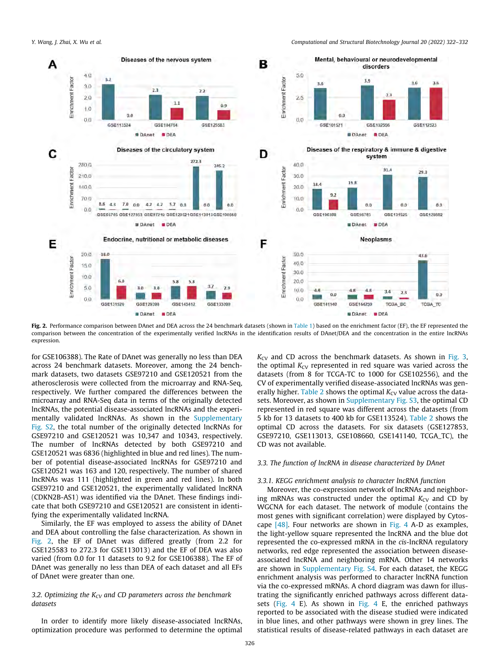

Fig. 2. Performance comparison between DAnet and DEA across the 24 benchmark datasets (shown in [Table 1](#page-1-0)) based on the enrichment factor (EF), the EF represented the comparison between the concentration of the experimentally verified lncRNAs in the identification results of DAnet/DEA and the concentration in the entire lncRNAs expression.

for GSE106388). The Rate of DAnet was generally no less than DEA across 24 benchmark datasets. Moreover, among the 24 benchmark datasets, two datasets GSE97210 and GSE120521 from the atherosclerosis were collected from the microarray and RNA-Seq, respectively. We further compared the differences between the microarray and RNA-Seq data in terms of the originally detected lncRNAs, the potential disease-associated lncRNAs and the experimentally validated lncRNAs. As shown in the Supplementary Fig. S2, the total number of the originally detected lncRNAs for GSE97210 and GSE120521 was 10,347 and 10343, respectively. The number of lncRNAs detected by both GSE97210 and GSE120521 was 6836 (highlighted in blue and red lines). The number of potential disease-associated lncRNAs for GSE97210 and GSE120521 was 163 and 120, respectively. The number of shared lncRNAs was 111 (highlighted in green and red lines). In both GSE97210 and GSE120521, the experimentally validated lncRNA (CDKN2B-AS1) was identified via the DAnet. These findings indicate that both GSE97210 and GSE120521 are consistent in identifying the experimentally validated lncRNA.

Similarly, the EF was employed to assess the ability of DAnet and DEA about controlling the false characterization. As shown in Fig. 2, the EF of DAnet was differed greatly (from 2.2 for GSE125583 to 272.3 for GSE113013) and the EF of DEA was also varied (from 0.0 for 11 datasets to 9.2 for GSE106388). The EF of DAnet was generally no less than DEA of each dataset and all EFs of DAnet were greater than one.

# 3.2. Optimizing the  $K_{CV}$  and CD parameters across the benchmark datasets

In order to identify more likely disease-associated lncRNAs, optimization procedure was performed to determine the optimal  $K_{CV}$  and CD across the benchmark datasets. As shown in [Fig. 3,](#page-5-0) the optimal  $K_{CV}$  represented in red square was varied across the datasets (from 8 for TCGA-TC to 1000 for GSE102556), and the CV of experimentally verified disease-associated lncRNAs was gen-erally higher. [Table 2](#page-2-0) shows the optimal  $K_{CV}$  value across the datasets. Moreover, as shown in Supplementary Fig. S3, the optimal CD represented in red square was different across the datasets (from 5 kb for 13 datasets to 400 kb for GSE113524). [Table 2](#page-2-0) shows the optimal CD across the datasets. For six datasets (GSE127853, GSE97210, GSE113013, GSE108660, GSE141140, TCGA\_TC), the CD was not available.

### 3.3. The function of lncRNA in disease characterized by DAnet

#### 3.3.1. KEGG enrichment analysis to character lncRNA function

Moreover, the co-expression network of lncRNAs and neighboring mRNAs was constructed under the optimal  $K_{CV}$  and CD by WGCNA for each dataset. The network of module (contains the most genes with significant correlation) were displayed by Cytoscape [\[48\]](#page-9-0). Four networks are shown in [Fig. 4](#page-6-0) A-D as examples, the light-yellow square represented the lncRNA and the blue dot represented the co-expressed mRNA in the cis-lncRNA regulatory networks, red edge represented the association between diseaseassociated lncRNA and neighboring mRNA. Other 14 networks are shown in Supplementary Fig. S4. For each dataset, the KEGG enrichment analysis was performed to character lncRNA function via the co-expressed mRNAs. A chord diagram was dawn for illustrating the significantly enriched pathways across different datasets [\(Fig. 4](#page-6-0) E). As shown in [Fig. 4](#page-6-0) E, the enriched pathways reported to be associated with the disease studied were indicated in blue lines, and other pathways were shown in grey lines. The statistical results of disease-related pathways in each dataset are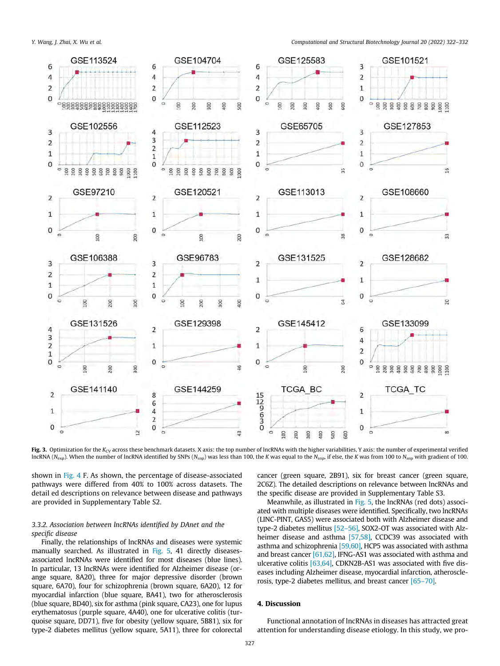<span id="page-5-0"></span>

Fig. 3. Optimization for the K<sub>CV</sub> across these benchmark datasets. X axis: the top number of lncRNAs with the higher variabilities, Y axis: the number of experimental verified  $ln{\rm{CNNA}}$  (N<sub>exp</sub>). When the number of lncRNA identified by SNPs (N<sub>snp</sub>) was less than 100, the K was equal to the N<sub>snp</sub>, if else, the K was from 100 to N<sub>snp</sub> with gradient of 100.

shown in [Fig. 4](#page-6-0) F. As shown, the percentage of disease-associated pathways were differed from 40% to 100% across datasets. The detail ed descriptions on relevance between disease and pathways are provided in Supplementary Table S2.

# 3.3.2. Association between lncRNAs identified by DAnet and the specific disease

Finally, the relationships of lncRNAs and diseases were systemic manually searched. As illustrated in [Fig. 5](#page-7-0), 41 directly diseasesassociated lncRNAs were identified for most diseases (blue lines). In particular, 13 lncRNAs were identified for Alzheimer disease (orange square, 8A20), three for major depressive disorder (brown square, 6A70), four for schizophrenia (brown square, 6A20), 12 for myocardial infarction (blue square, BA41), two for atherosclerosis (blue square, BD40), six for asthma (pink square, CA23), one for lupus erythematosus (purple square, 4A40), one for ulcerative colitis (turquoise square, DD71), five for obesity (yellow square, 5B81), six for type-2 diabetes mellitus (yellow square, 5A11), three for colorectal cancer (green square, 2B91), six for breast cancer (green square, 2C6Z). The detailed descriptions on relevance between lncRNAs and the specific disease are provided in Supplementary Table S3.

Meanwhile, as illustrated in [Fig. 5,](#page-7-0) the lncRNAs (red dots) associated with multiple diseases were identified. Specifically, two lncRNAs (LINC-PINT, GAS5) were associated both with Alzheimer disease and type-2 diabetes mellitus [\[52–56\],](#page-9-0) SOX2-OT was associated with Alz-heimer disease and asthma [\[57,58\]](#page-9-0), CCDC39 was associated with asthma and schizophrenia [\[59,60\],](#page-9-0) HCP5 was associated with asthma and breast cancer [\[61,62\],](#page-9-0) IFNG-AS1 was associated with asthma and ulcerative colitis [\[63,64\]](#page-9-0), CDKN2B-AS1 was associated with five diseases including Alzheimer disease, myocardial infarction, atherosclerosis, type-2 diabetes mellitus, and breast cancer [\[65–70\]](#page-9-0).

### 4. Discussion

Functional annotation of lncRNAs in diseases has attracted great attention for understanding disease etiology. In this study, we pro-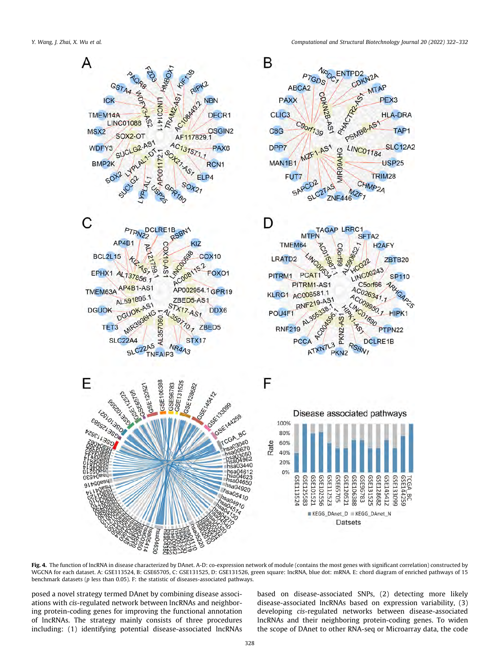<span id="page-6-0"></span>

Fig. 4. The function of lncRNA in disease characterized by DAnet. A-D: co-expression network of module (contains the most genes with significant correlation) constructed by WGCNA for each dataset. A: GSE113524, B: GSE65705, C: GSE131525, D: GSE131526, green square: lncRNA, blue dot: mRNA. E: chord diagram of enriched pathways of 15 benchmark datasets (p less than 0.05). F: the statistic of diseases-associated pathways.

posed a novel strategy termed DAnet by combining disease associations with cis-regulated network between lncRNAs and neighboring protein-coding genes for improving the functional annotation of lncRNAs. The strategy mainly consists of three procedures including: (1) identifying potential disease-associated lncRNAs based on disease-associated SNPs, (2) detecting more likely disease-associated lncRNAs based on expression variability, (3) developing cis-regulated networks between disease-associated lncRNAs and their neighboring protein-coding genes. To widen the scope of DAnet to other RNA-seq or Microarray data, the code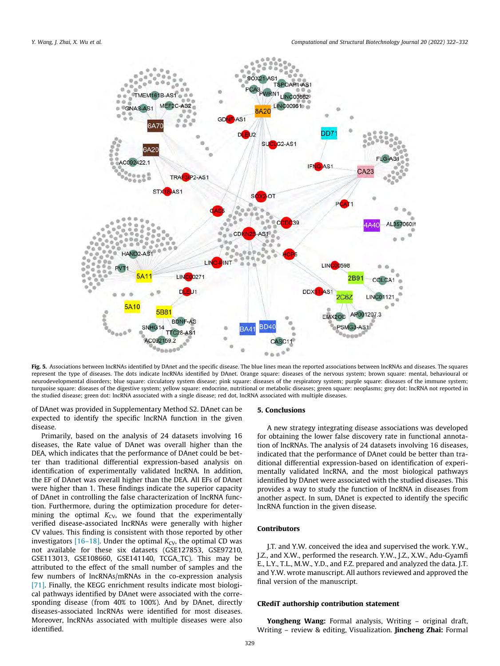<span id="page-7-0"></span>

Fig. 5. Associations between lncRNAs identified by DAnet and the specific disease. The blue lines mean the reported associations between lncRNAs and diseases. The squares represent the type of diseases. The dots indicate lncRNAs identified by DAnet. Orange square: diseases of the nervous system; brown square: mental, behavioural or neurodevelopmental disorders; blue square: circulatory system disease; pink square: diseases of the respiratory system; purple square: diseases of the immune system; turquoise square: diseases of the digestive system; yellow square: endocrine, nutritional or metabolic diseases; green square: neoplasms; grey dot: lncRNA not reported in the studied disease; green dot: lncRNA associated with a single disease; red dot, lncRNA associated with multiple diseases.

of DAnet was provided in Supplementary Method S2. DAnet can be expected to identify the specific lncRNA function in the given disease.

Primarily, based on the analysis of 24 datasets involving 16 diseases, the Rate value of DAnet was overall higher than the DEA, which indicates that the performance of DAnet could be better than traditional differential expression-based analysis on identification of experimentally validated lncRNA. In addition, the EF of DAnet was overall higher than the DEA. All EFs of DAnet were higher than 1. These findings indicate the superior capacity of DAnet in controlling the false characterization of lncRNA function. Furthermore, during the optimization procedure for determining the optimal  $K_{CV}$ , we found that the experimentally verified disease-associated lncRNAs were generally with higher CV values. This finding is consistent with those reported by other investigators  $[16–18]$ . Under the optimal  $K_{CV}$ , the optimal CD was not available for these six datasets (GSE127853, GSE97210, GSE113013, GSE108660, GSE141140, TCGA\_TC). This may be attributed to the effect of the small number of samples and the few numbers of lncRNAs/mRNAs in the co-expression analysis [\[71\]](#page-9-0). Finally, the KEGG enrichment results indicate most biological pathways identified by DAnet were associated with the corresponding disease (from 40% to 100%). And by DAnet, directly diseases-associated lncRNAs were identified for most diseases. Moreover, lncRNAs associated with multiple diseases were also identified.

#### 5. Conclusions

A new strategy integrating disease associations was developed for obtaining the lower false discovery rate in functional annotation of lncRNAs. The analysis of 24 datasets involving 16 diseases, indicated that the performance of DAnet could be better than traditional differential expression-based on identification of experimentally validated lncRNA, and the most biological pathways identified by DAnet were associated with the studied diseases. This provides a way to study the function of lncRNA in diseases from another aspect. In sum, DAnet is expected to identify the specific lncRNA function in the given disease.

# Contributors

J.T. and Y.W. conceived the idea and supervised the work. Y.W., J.Z., and X.W., performed the research. Y.W., J.Z., X.W., Adu-Gyamfi E., L.Y., T.L., M.W., Y.D., and F.Z. prepared and analyzed the data. J.T. and Y.W. wrote manuscript. All authors reviewed and approved the final version of the manuscript.

# CRediT authorship contribution statement

Yongheng Wang: Formal analysis, Writing - original draft, Writing – review & editing, Visualization. **Jincheng Zhai:** Formal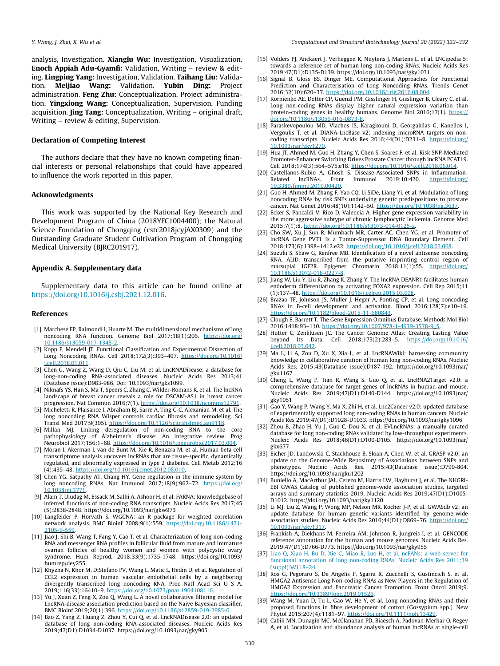<span id="page-8-0"></span>analysis, Investigation. Xianglu Wu: Investigation, Visualization. Enoch Appiah Adu-Gyamfi: Validation, Writing – review & editing. Lingping Yang: Investigation, Validation. Taihang Liu: Validation. Meijiao Wang: Validation. Yubin Ding: Project administration. Feng Zhu: Conceptualization, Project administration. Yingxiong Wang: Conceptualization, Supervision, Funding acquisition. Jing Tang: Conceptualization, Writing - original draft, Writing – review & editing, Supervision.

# Declaration of Competing Interest

The authors declare that they have no known competing financial interests or personal relationships that could have appeared to influence the work reported in this paper.

#### Acknowledgments

This work was supported by the National Key Research and Development Program of China (2018YFC1004400); the Natural Science Foundation of Chongqing (cstc2018jcyjAX0309) and the Outstanding Graduate Student Cultivation Program of Chongqing Medical University (BJRC201917).

#### Appendix A. Supplementary data

Supplementary data to this article can be found online at [https://doi.org/10.1016/j.csbj.2021.12.016.](https://doi.org/10.1016/j.csbj.2021.12.016)

#### References

- [1] Marchese FP, Raimondi I, Huarte M. The multidimensional mechanisms of long noncoding RNA function. Genome Biol 2017;18(1):206. https://do [10.1186/s13059-017-1348-2.](https://doi.org/10.1186/s13059-017-1348-2)
- [2] Kopp F, Mendell JT. Functional Classification and Experimental Dissection of Long Noncoding RNAs. Cell 2018;172(3):393–407. [https://doi.org/10.1016/](https://doi.org/10.1016/j.cell.2018.01.011) [j.cell.2018.01.011](https://doi.org/10.1016/j.cell.2018.01.011).
- [3] Chen G, Wang Z, Wang D, Qiu C, Liu M, et al. LncRNADisease: a database for long-non-coding RNA-associated diseases. Nucleic Acids Res 2013;41 (Database issue):D983-986. Doi: 10.1093/nar/gks1099.
- [4] Niknafs YS, Han S, Ma T, Speers C, Zhang C, Wilder-Romans K, et al. The lncRNA landscape of breast cancer reveals a role for DSCAM-AS1 in breast cancer progression. Nat Commun 2016;7(1). <https://doi.org/10.1038/ncomms12791>.
- [5] Micheletti R, Plaisance I, Abraham BJ, Sarre A, Ting C-C, Alexanian M, et al. The long noncoding RNA Wisper controls cardiac fibrosis and remodeling. Sci Transl Med 2017;9(395). <https://doi.org/10.1126/scitranslmed.aai9118>.
- [6] Millan MJ. Linking deregulation of non-coding RNA to the core pathophysiology of Alzheimer's disease: An integrative review. Prog Neurobiol 2017;156:1-68. https://doi.org/10.1016/j.pneurobio.2017.03.004
- [7] Moran I, Akerman I, van de Bunt M, Xie R, Benazra M, et al. Human beta cell transcriptome analysis uncovers lncRNAs that are tissue-specific, dynamically regulated, and abnormally expressed in type 2 diabetes. Cell Metab 2012;16 (4):435–48. <https://doi.org/10.1016/j.cmet.2012.08.010>.
- [8] Chen YG, Satpathy AT, Chang HY. Gene regulation in the immune system by long noncoding RNAs. Nat Immunol 2017;18(9):962-72. [https://doi.org/](https://doi.org/10.1038/ni.3771) [10.1038/ni.3771.](https://doi.org/10.1038/ni.3771)
- [9] Alam T, Uludag M, Essack M, Salhi A, Ashoor H, et al. FARNA: knowledgebase of inferred functions of non-coding RNA transcripts. Nucleic Acids Res 2017;45 (5):2838-2848. https://doi.org/10.1093/nar/gkw973
- [10] Langfelder P, Horvath S. WGCNA: an R package for weighted correlation network analysis. BMC Bioinf 2008;9(1):559. [https://doi.org/10.1186/1471-](https://doi.org/10.1186/1471-2105-9-559) [2105-9-559.](https://doi.org/10.1186/1471-2105-9-559) [11] Jiao J, Shi B, Wang T, Fang Y, Cao T, et al. Characterization of long non-coding
- RNA and messenger RNA profiles in follicular fluid from mature and immature ovarian follicles of healthy women and women with polycystic ovary syndrome. Hum Reprod. 2018;33(9):1735-1748. https://doi.org/10.1093/ humrep/dey255
- [12] Khyzha N, Khor M, DiStefano PV, Wang L, Matic L, Hedin U, et al. Regulation of CCL2 expression in human vascular endothelial cells by a neighboring divergently transcribed long noncoding RNA. Proc Natl Acad Sci U S A. 2019;116(33):16410–9. [https://doi.org/10.1073/pnas.1904108116.](https://doi.org/10.1073/pnas.1904108116)
- [13] Yu J, Xuan Z, Feng X, Zou Q, Wang L. A novel collaborative filtering model for LncRNA-disease association prediction based on the Naive Bayesian classifier. BMC Bioinf 2019;20(1):396. <https://doi.org/10.1186/s12859-019-2985-0>.
- [14] Bao Z, Yang Z, Huang Z, Zhou Y, Cui Q, et al. LncRNADisease 2.0: an updated database of long non-coding RNA-associated diseases. Nucleic Acids Res 2019;47(D1):D1034-D1037. https://doi.org/10.1093/nar/gky905
- [15] Volders PJ, Anckaert J, Verheggen K, Nuytens J, Martens L, et al. LNCipedia 5: towards a reference set of human long non-coding RNAs. Nucleic Acids Res 2019;47(D1):D135-D139. https://doi.org/10.1093/nar/gky1031
- Signal B, Gloss BS, Dinger ME. Computational Approaches for Functional Prediction and Characterisation of Long Noncoding RNAs. Trends Genet 2016;32(10):620–37. <https://doi.org/10.1016/j.tig.2016.08.004>.
- [17] Kornienko AE, Dotter CP, Guenzl PM, Gisslinger H, Gisslinger B, Cleary C, et al. Long non-coding RNAs display higher natural expression variation than protein-coding genes in healthy humans. Genome Biol 2016;17(1). [https://](https://doi.org/10.1186/s13059-016-0873-8) doi.org/10.1186/s13059-016-08
- [18] Paraskevopoulou MD, Vlachos IS, Karagkouni D, Georgakilas G, Kanellos I, Vergoulis T, et al. DIANA-LncBase v2: indexing microRNA targets on noncoding transcripts. Nucleic Acids Res 2016;44(D1):D231–8. [https://doi.org/](https://doi.org/10.1093/nar/gkv1270) [10.1093/nar/gkv1270](https://doi.org/10.1093/nar/gkv1270).
- [19] Hua JT, Ahmed M, Guo H, Zhang Y, Chen S, Soares F, et al. Risk SNP-Mediated Promoter-Enhancer Switching Drives Prostate Cancer through lncRNA PCAT19. Cell 2018;174(3):564–575.e18. <https://doi.org/10.1016/j.cell.2018.06.014>.
- [20] Castellanos-Rubio A, Ghosh S. Disease-Associated SNPs in Inflammation-<br>Related IncRNAs. Front Immunol 2019;10:420. https://doi.org/ Related lncRNAs. Front Immunol 2019;10:420. [https://doi.org/](https://doi.org/10.3389/fimmu.2019.00420) [10.3389/fimmu.2019.00420](https://doi.org/10.3389/fimmu.2019.00420).
- [21] Guo H, Ahmed M, Zhang F, Yao CQ, Li SiDe, Liang Yi, et al. Modulation of long noncoding RNAs by risk SNPs underlying genetic predispositions to prostate cancer. Nat Genet 2016;48(10):1142–50. [https://doi.org/10.1038/ng.3637.](https://doi.org/10.1038/ng.3637)
- [22] Ecker S, Pancaldi V, Rico D, Valencia A. Higher gene expression variability in the more aggressive subtype of chronic lymphocytic leukemia. Genome Med 2015;7(1):8. https://doi.org/10.1186/s13073-014-0125
- [23] Cho SW, Xu J, Sun R, Mumbach MR, Carter AC, Chen YG, et al. Promoter of lncRNA Gene PVT1 Is a Tumor-Suppressor DNA Boundary Element. Cell 2018;173(6):1398–1412.e22. <https://doi.org/10.1016/j.cell.2018.03.068>.
- [24] Suzuki S, Shaw G, Renfree MB. Identification of a novel antisense noncoding RNA, ALID, transcribed from the putative imprinting control region of marsupial IGF2R. Epigenet Chromatin 2018;11(1):55. [https://doi.org/](https://doi.org/10.1186/s13072-018-0227-8) [10.1186/s13072-018-0227-8](https://doi.org/10.1186/s13072-018-0227-8).
- [25] Jiang W, Liu Y, Liu R, Zhang K, Zhang Y. The lncRNA DEANR1 facilitates human endoderm differentiation by activating FOXA2 expression. Cell Rep 2015;11 (1):137–48. <https://doi.org/10.1016/j.celrep.2015.03.008>.
- [26] Brazao TF, Johnson JS, Muller J, Heger A, Ponting CP, et al. Long noncoding RNAs in B-cell development and activation. Blood 2016;128(7):e10–19. [https://doi.org/10.1182/blood-2015-11-680843.](https://doi.org/10.1182/blood-2015-11-680843)
- [27] Clough E, Barrett T. The Gene Expression Omnibus Database. Methods Mol Biol 2016;1418:93-110. [https://doi.org/10.1007/978-1-4939-3578-9\\_5.](https://doi.org/10.1007/978-1-4939-3578-9_5)
- [28] Hutter C, Zenklusen JC. The Cancer Genome Atlas: Creating Lasting Value beyond Its Data. Cell 2018;173(2):283–5. [https://doi.org/10.1016/](https://doi.org/10.1016/j.cell.2018.03.042) [j.cell.2018.03.042](https://doi.org/10.1016/j.cell.2018.03.042).
- [29] Ma L, Li A, Zou D, Xu X, Xia L, et al. LncRNAWiki: harnessing community knowledge in collaborative curation of human long non-coding RNAs. Nucleic Acids Res. 2015;43(Database issue):D187-192. https://doi.org/10.1093/nar/ gku1167
- [30] Cheng L, Wang P, Tian R, Wang S, Guo Q, et al. LncRNA2Target v2.0: a comprehensive database for target genes of lncRNAs in human and mouse. Nucleic Acids Res 2019;47(D1):D140-D144. https://doi.org/10.1093/nar/ gky1051
- [31] Gao Y, Wang P, Wang Y, Ma X, Zhi H, et al. Lnc2Cancer v2.0: updated database of experimentally supported long non-coding RNAs in human cancers. Nucleic Acids Res 2019;47(D1):D1028-D1033. https://doi.org/10.1093/nar/gky1096
- [32] Zhou B, Zhao H, Yu J, Guo C, Dou X, et al. EVLncRNAs: a manually curated database for long non-coding RNAs validated by low-throughput experiments. Nucleic Acids Res 2018;46(D1):D100-D105. https://doi.org/10.1093/nar/ gkx677
- [33] Eicher JD, Landowski C, Stackhouse B, Sloan A, Chen W, et al. GRASP v2.0: an update on the Genome-Wide Repository of Associations between SNPs and phenotypes. Nucleic Acids Res. 2015;43(Database issue):D799-804. https://doi.org/10.1093/nar/gku1202
- [34] Buniello A, MacArthur JAL, Cerezo M, Harris LW, Hayhurst J, et al. The NHGRI-EBI GWAS Catalog of published genome-wide association studies, targeted arrays and summary statistics 2019. Nucleic Acids Res 2019;47(D1):D1005- D1012. https://doi.org/10.1093/nar/gky1120
- [35] Li MJ, Liu Z, Wang P, Wong MP, Nelson MR, Kocher J-P, et al. GWASdb v2: an update database for human genetic variants identified by genome-wide association studies. Nucleic Acids Res 2016;44(D1):D869–76. [https://doi.org/](https://doi.org/10.1093/nar/gkv1317) [10.1093/nar/gkv1317](https://doi.org/10.1093/nar/gkv1317).
- [36] Frankish A, Diekhans M, Ferreira AM, Johnson R, Jungreis I, et al. GENCODE reference annotation for the human and mouse genomes. Nucleic Acids Res. 2019;47(D1):D766-D773. https://doi.org/10.1093/nar/gky955
- [37] [Liao Q, Xiao H, Bu D, Xie C, Miao R, Luo H, et al. ncFANs: a web server for](http://refhub.elsevier.com/S2001-0370(21)00525-0/h0185) [functional annotation of long non-coding RNAs. Nucleic Acids Res 2011;39](http://refhub.elsevier.com/S2001-0370(21)00525-0/h0185) [\(suppl\):W118–24.](http://refhub.elsevier.com/S2001-0370(21)00525-0/h0185)
- [38] Ros G, Pegoraro S, De Angelis P, Sgarra R, Zucchelli S, Gustincich S, et al. HMGA2 Antisense Long Non-coding RNAs as New Players in the Regulation of HMGA2 Expression and Pancreatic Cancer Promotion. Front Oncol 2019;9. <https://doi.org/10.3389/fonc.2019.01526>.
- [39] Wang M, Yuan D, Tu L, Gao W, He Y, et al. Long noncoding RNAs and their proposed functions in fibre development of cotton (Gossypium spp.). New Phytol 2015;207(4):1181–97. <https://doi.org/10.1111/nph.13429>.
- [40] Cabili MN, Dunagin MC, McClanahan PD, Biaesch A, Padovan-Merhar O, Regev A, et al. Localization and abundance analysis of human lncRNAs at single-cell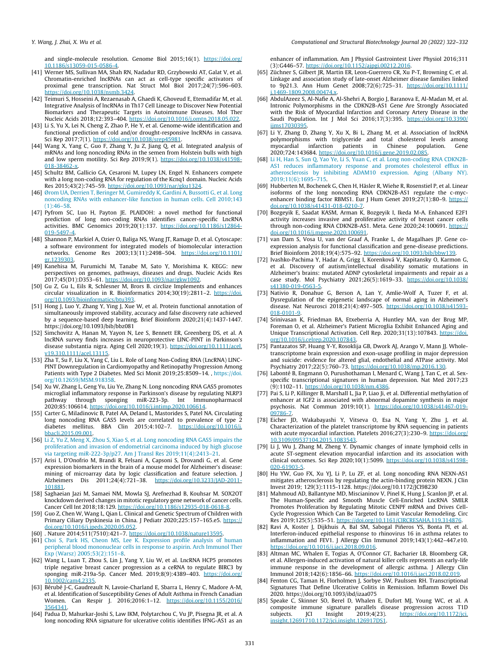<span id="page-9-0"></span>and single-molecule resolution. Genome Biol 2015;16(1). [https://doi.org/](https://doi.org/10.1186/s13059-015-0586-4) 10.1186/s13059-015-0586

- [41] Werner MS, Sullivan MA, Shah RN, Nadadur RD, Grzybowski AT, Galat V, et al. Chromatin-enriched lncRNAs can act as cell-type specific activators of proximal gene transcription. Nat Struct Mol Biol 2017;24(7):596-603.  $n_{\text{ref}}/10.1038/n$ smb.3424
- [42] Teimuri S, Hosseini A, Rezaenasab A, Ghaedi K, Ghoveud E, Etemadifar M, et al. Integrative Analysis of lncRNAs in Th17 Cell Lineage to Discover New Potential Biomarkers and Therapeutic Targets in Autoimmune Diseases. Mol Ther Nucleic Acids 2018;12:393–404. <https://doi.org/10.1016/j.omtn.2018.05.022>.
- [43] Li S, Yu X, Lei N, Cheng Z, Zhao P, He Y, et al. Genome-wide identification and functional prediction of cold and/or drought-responsive lncRNAs in cassava. Sci Rep 2017;7(1). [https://doi.org/10.1038/srep45981.](https://doi.org/10.1038/srep45981)
- [44] Wang X, Yang C, Guo F, Zhang Y, Ju Z, Jiang Q, et al. Integrated analysis of mRNAs and long noncoding RNAs in the semen from Holstein bulls with high and low sperm motility. Sci Rep 2019;9(1). https://doi.org/10.1038/s4159 [018-38462-x.](https://doi.org/10.1038/s41598-018-38462-x)
- [45] Schultz BM, Gallicio GA, Cesaroni M, Lupey LN, Engel N. Enhancers compete with a long non-coding RNA for regulation of the Kcnq1 domain. Nucleic Acids Res 2015;43(2):745–59. [https://doi.org/10.1093/nar/gku1324.](https://doi.org/10.1093/nar/gku1324)
- [46] Ø[rom UA, Derrien T, Beringer M, Gumireddy K, Gardini A, Bussotti G, et al. Long](http://refhub.elsevier.com/S2001-0370(21)00525-0/h0230) [noncoding RNAs with enhancer-like function in human cells. Cell 2010;143](http://refhub.elsevier.com/S2001-0370(21)00525-0/h0230)  $(1):46-58.$
- [47] Pyfrom SC, Luo H, Payton JE. PLAIDOH: a novel method for functional prediction of long non-coding RNAs identifies cancer-specific LncRNA activities. BMC Genomics 2019;20(1):137. [https://doi.org/10.1186/s12864-](https://doi.org/10.1186/s12864-019-5497-4) [019-5497-4.](https://doi.org/10.1186/s12864-019-5497-4)
- [48] Shannon P, Markiel A, Ozier O, Baliga NS, Wang JT, Ramage D, et al. Cytoscape: a software environment for integrated models of biomolecular interaction networks. Genome Res 2003;13(11):2498-504. [https://doi.org/10.1101/](https://doi.org/10.1101/gr.1239303) [gr.1239303.](https://doi.org/10.1101/gr.1239303)
- [49] Kanehisa M, Furumichi M, Tanabe M, Sato Y, Morishima K. KEGG: new perspectives on genomes, pathways, diseases and drugs. Nucleic Acids Res 2017;45(D1):D353-61. https://doi.org/10.1093/nar/gkw109
- [50] Gu Z, Gu L, Eils R, Schlesner M, Brors B. circlize Implements and enhances circular visualization in R. Bioinformatics 2014;30(19):2811–2. [https://doi.](https://doi.org/10.1093/bioinformatics/btu393) [org/10.1093/bioinformatics/btu393.](https://doi.org/10.1093/bioinformatics/btu393)
- [51] Hong J, Luo Y, Zhang Y, Ying J, Xue W, et al. Protein functional annotation of simultaneously improved stability, accuracy and false discovery rate achieved by a sequence-based deep learning. Brief Bioinform 2020;21(4):1437-1447. https://doi.org/10.1093/bib/bbz081
- [52] Simchovitz A, Hanan M, Yayon N, Lee S, Bennett ER, Greenberg DS, et al. A lncRNA survey finds increases in neuroprotective LINC-PINT in Parkinson's disease substantia nigra. Aging Cell 2020;19(3). [https://doi.org/10.1111/acel.](https://doi.org/10.1111/acel.v19.310.1111/acel.13115) [v19.310.1111/acel.13115](https://doi.org/10.1111/acel.v19.310.1111/acel.13115).
- [53] Zha T, Su F, Liu X, Yang C, Liu L. Role of Long Non-Coding RNA (LncRNA) LINC-PINT Downregulation in Cardiomyopathy and Retinopathy Progression Among Patients with Type 2 Diabetes. Med Sci Monit 2019;25:8509–14. , [https://doi.](https://doi.org/10.12659/MSM.918358) [org/10.12659/MSM.918358](https://doi.org/10.12659/MSM.918358).
- [54] Xu W, Zhang L, Geng Yu, Liu Ye, Zhang N. Long noncoding RNA GAS5 promotes microglial inflammatory response in Parkinson's disease by regulating NLRP3 pathway through sponging miR-223-3p. Int Immunopharmacol 2020;85:106614. [https://doi.org/10.1016/j.intimp.2020.106614.](https://doi.org/10.1016/j.intimp.2020.106614)
- [55] Carter G, Miladinovic B, Patel AA, Deland L, Mastorides S, Patel NA. Circulating long noncoding RNA GAS5 levels are correlated to prevalence of type 2 diabetes mellitus. BBA Clin 2015;4:102–7. [https://doi.org/10.1016/j.](https://doi.org/10.1016/j.bbacli.2015.09.001) [bbacli.2015.09.001](https://doi.org/10.1016/j.bbacli.2015.09.001).
- [56] [Li Z, Yu Z, Meng X, Zhou S, Xiao S, et al. Long noncoding RNA GAS5 impairs the](http://refhub.elsevier.com/S2001-0370(21)00525-0/h0280) [proliferation and invasion of endometrial carcinoma induced by high glucose](http://refhub.elsevier.com/S2001-0370(21)00525-0/h0280) [via targeting miR-222-3p/p27. Am J Transl Res 2019;11\(4\):2413–21.](http://refhub.elsevier.com/S2001-0370(21)00525-0/h0280)
- [57] Arisi I, D'Onofrio M, Brandi R, Felsani A, Capsoni S, Drovandi G, et al. Gene expression biomarkers in the brain of a mouse model for Alzheimer's disease: mining of microarray data by logic classification and feature selection. J<br>Alzheimers Dis 2011:24(4):721-38. https://doi.org/10.3233/IAD-2011-Alzheimers Dis 2011;24(4):721-38. [101881](https://doi.org/10.3233/JAD-2011-101881).
- [58] Saghaeian Jazi M, Samaei NM, Mowla SJ, Arefnezhad B, Kouhsar M. SOX2OT knockdown derived changes in mitotic regulatory gene network of cancer cells. Cancer Cell Int 2018;18:129. <https://doi.org/10.1186/s12935-018-0618-8>.
- [59] Guo Z, Chen W, Wang L, Qian L. Clinical and Genetic Spectrum of Children with Primary Ciliary Dyskinesia in China. J Pediatr 2020;225:157-165.e5. [https://](https://doi.org/10.1016/j.jpeds.2020.05.052) [doi.org/10.1016/j.jpeds.2020.05.052.](https://doi.org/10.1016/j.jpeds.2020.05.052)
- 
- [60] . Nature 2014;511(7510):421–7. <https://doi.org/10.1038/nature13595>. [61] [Choi S, Park HS, Cheon MS, Lee K. Expression profile analysis of human](http://refhub.elsevier.com/S2001-0370(21)00525-0/h0305) [peripheral blood mononuclear cells in response to aspirin. Arch Immunol Ther](http://refhub.elsevier.com/S2001-0370(21)00525-0/h0305) [Exp \(Warsz\) 2005;53\(2\):151–8.](http://refhub.elsevier.com/S2001-0370(21)00525-0/h0305)
- [62] Wang L, Luan T, Zhou S, Lin J, Yang Y, Liu W, et al. LncRNA HCP5 promotes triple negative breast cancer progression as a ceRNA to regulate BIRC3 by sponging miR-219a-5p. Cancer Med. 2019;8(9):4389-403. [https://doi.org/](https://doi.org/10.1002/cam4.2335) [10.1002/cam4.2335](https://doi.org/10.1002/cam4.2335).
- [63] Bérubé J-C, Gaudreault N, Lavoie-Charland E, Sbarra L, Henry C, Madore A-M, et al. Identification of Susceptibility Genes of Adult Asthma in French Canadian Women. Can Respir J. 2016;2016:1–12. [https://doi.org/10.1155/2016/](https://doi.org/10.1155/2016/3564341) [3564341.](https://doi.org/10.1155/2016/3564341)
- [64] Padua D, Mahurkar-Joshi S, Law IKM, Polytarchou C, Vu JP, Pisegna JR, et al. A long noncoding RNA signature for ulcerative colitis identifies IFNG-AS1 as an

enhancer of inflammation. Am J Physiol Gastrointest Liver Physiol 2016;311 (3):G446-57. <https://doi.org/10.1152/ajpgi.00212.2016>

- [65] Züchner S, Gilbert JR, Martin ER, Leon-Guerrero CR, Xu P-T, Browning C, et al. Linkage and association study of late-onset Alzheimer disease families linked to 9p21.3. Ann Hum Genet 2008;72(6):725–31. [https://doi.org/10.1111/](https://doi.org/10.1111/j.1469-1809.2008.00474.x) [j.1469-1809.2008.00474.x](https://doi.org/10.1111/j.1469-1809.2008.00474.x).
- [66] AbdulAzeez S, Al-Nafie A, Al-Shehri A, Borgio J, Baranova E, Al-Madan M, et al. Intronic Polymorphisms in the CDKN2B-AS1 Gene Are Strongly Associated with the Risk of Myocardial Infarction and Coronary Artery Disease in the Saudi Population. Int J Mol Sci 2016;17(3):395. [https://doi.org/10.3390/](https://doi.org/10.3390/ijms17030395) [ijms17030395.](https://doi.org/10.3390/ijms17030395)
- [67] Li Y, Zhang D, Zhang Y, Xu X, Bi L, Zhang M, et al. Association of lncRNA polymorphisms with triglyceride and total cholesterol levels among myocardial infarction patients in Chinese population. Gene 2020;724:143684. <https://doi.org/10.1016/j.gene.2019.02.085>.
- [68] [Li H, Han S, Sun Q, Yao Ye, Li S, Yuan C, et al. Long non-coding RNA CDKN2B-](http://refhub.elsevier.com/S2001-0370(21)00525-0/h0340)[AS1 reduces inflammatory response and promotes cholesterol efflux in](http://refhub.elsevier.com/S2001-0370(21)00525-0/h0340) [atherosclerosis by inhibiting ADAM10 expression. Aging \(Albany NY\).](http://refhub.elsevier.com/S2001-0370(21)00525-0/h0340) [2019;11\(6\):1695–715.](http://refhub.elsevier.com/S2001-0370(21)00525-0/h0340)
- [69] Hubberten M, Bochenek G, Chen H, Häsler R, Wiehe R, Rosenstiel P, et al. Linear isoforms of the long noncoding RNA CDKN2B-AS1 regulate the c-mycenhancer binding factor RBMS1. Eur J Hum Genet 2019;27(1):80-9. http: [doi.org/10.1038/s41431-018-0210-7](https://doi.org/10.1038/s41431-018-0210-7).
- [70] Bozgeyik E, Saadat KASM, Arman K, Bozgeyik I, Ikeda M-A. Enhanced E2F1 activity increases invasive and proliferative activity of breast cancer cells through non-coding RNA CDKN2B-AS1. Meta. Gene 2020;24:100691. [https://](https://doi.org/10.1016/j.mgene.2020.100691) [doi.org/10.1016/j.mgene.2020.100691](https://doi.org/10.1016/j.mgene.2020.100691).
- [71] van Dam S, Vosa U, van der Graaf A, Franke L, de Magalhaes JP. Gene coexpression analysis for functional classification and gene-disease predictions. Brief Bioinform 2018;19(4):575–92. [https://doi.org/10.1093/bib/bbw139.](https://doi.org/10.1093/bib/bbw139)
- [72] Ivashko-Pachima Y, Hadar A, Grigg I, Korenková V, Kapitansky O, Karmon G, et al. Discovery of autism/intellectual disability somatic mutations in Alzheimer's brains: mutated ADNP cytoskeletal impairments and repair as a case study. Mol Psychiatry 2021;26(5):1619–33. <u>[https://doi.org/10.1038/](https://doi.org/10.1038/s41380-019-0563-5)</u><br><u>s41380-019-0563-5</u>.
- [73] Nativio R, Donahue G, Berson A, Lan Y, Amlie-Wolf A, Tuzer F, et al. Dysregulation of the epigenetic landscape of normal aging in Alzheimer's disease. Nat Neurosci 2018;21(4):497–505. [https://doi.org/10.1038/s41593-](https://doi.org/10.1038/s41593-018-0101-9) [018-0101-9.](https://doi.org/10.1038/s41593-018-0101-9)
- [74] Srinivasan K, Friedman BA, Etxeberria A, Huntley MA, van der Brug MP, Foreman O, et al. Alzheimer's Patient Microglia Exhibit Enhanced Aging and Unique Transcriptional Activation. Cell Rep. 2020;31(13):107843. [https://doi.](https://doi.org/10.1016/j.celrep.2020.107843) [org/10.1016/j.celrep.2020.107843](https://doi.org/10.1016/j.celrep.2020.107843).
- [75] Pantazatos SP, Huang Y-Y, Rosoklija GB, Dwork AJ, Arango V, Mann JJ. Wholetranscriptome brain expression and exon-usage profiling in major depression and suicide: evidence for altered glial, endothelial and ATPase activity. Mol Psychiatry 2017;22(5):760–73. [https://doi.org/10.1038/mp.2016.130.](https://doi.org/10.1038/mp.2016.130)
- [76] Labonté B, Engmann O, Purushothaman I, Menard C, Wang J, Tan C, et al. Sex-specific transcriptional signatures in human depression. Nat Med 2017;23 (9):1102–11. [https://doi.org/10.1038/nm.4386.](https://doi.org/10.1038/nm.4386)
- [77] Pai S, Li P, Killinger B, Marshall L, Jia P, Liao Ji, et al. Differential methylation of enhancer at IGF2 is associated with abnormal dopamine synthesis in major psychosis. Nat Commun 2019;10(1). [https://doi.org/10.1038/s41467-019-](https://doi.org/10.1038/s41467-019-09786-7) [09786-7.](https://doi.org/10.1038/s41467-019-09786-7)
- [78] Eicher JD, Wakabayashi Y, Vitseva O, Esa N, Yang Y, Zhu J, et al. Characterization of the platelet transcriptome by RNA sequencing in patients with acute myocardial infarction. Platelets 2016;27(3):230–9. [https://doi.org/](https://doi.org/10.3109/09537104.2015.1083543) [10.3109/09537104.2015.1083543](https://doi.org/10.3109/09537104.2015.1083543).
- [79] Li J, Wu J, Zhang M, Zheng Y. Dynamic changes of innate lymphoid cells in acute ST-segment elevation myocardial infarction and its association with clinical outcomes. Sci Rep 2020;10(1):5099. [https://doi.org/10.1038/s41598-](https://doi.org/10.1038/s41598-020-61903-5) [020-61903-5.](https://doi.org/10.1038/s41598-020-61903-5)
- [80] Hu YW, Guo FX, Xu YJ, Li P, Lu ZF, et al. Long noncoding RNA NEXN-AS1 mitigates atherosclerosis by regulating the actin-binding protein NEXN. J Clin Invest 2019; 129(3):1115-1128. https://doi.org/10.1172/JCI98230
- [81] Mahmoud AD, Ballantyne MD, Miscianinov V, Pinel K, Hung J, Scanlon JP, et al. The Human-Specific and Smooth Muscle Cell-Enriched LncRNA SMILR Promotes Proliferation by Regulating Mitotic CENPF mRNA and Drives Cell-Cycle Progression Which Can Be Targeted to Limit Vascular Remodeling. Circ
- Res 2019;125(5):535–51. [https://doi.org/10.1161/CIRCRESAHA.119.314876.](https://doi.org/10.1161/CIRCRESAHA.119.314876)<br>[82] Ravi A, Koster J, Dijkhuis A, Bal SM, Sabogal Piñeros YS, Bonta PI, et al. Interferon-induced epithelial response to rhinovirus 16 in asthma relates to inflammation and FEV1. J Allergy Clin Immunol 2019;143(1):442–447.e10. [https://doi.org/10.1016/j.jaci.2018.09.016.](https://doi.org/10.1016/j.jaci.2018.09.016)
- [83] Altman MC, Whalen E, Togias A, O'Connor GT, Bacharier LB, Bloomberg GR, et al. Allergen-induced activation of natural killer cells represents an early-life immune response in the development of allergic asthma. J Allergy Clin
- Immunol 2018;142(6):1856–66. [https://doi.org/10.1016/j.jaci.2018.02.019.](https://doi.org/10.1016/j.jaci.2018.02.019) [84] Fenton CG, Taman H, Florholmen J, Sorbye SW, Paulssen RH. Transcriptional Signatures That Define Ulcerative Colitis in Remission. Inflamm Bowel Dis 2020. https://doi.org/10.1093/ibd/izaa075
- [85] Speake C, Skinner SO, Berel D, Whalen E, Dufort MJ, Young WC, et al. A composite immune signature parallels disease progression across T1D subjects. JCI Insight 2019;4(23). [https://doi.org/10.1172/jci.](https://doi.org/10.1172/jci.insight.12691710.1172/jci.insight.126917DS1) [insight.12691710.1172/jci.insight.126917DS1](https://doi.org/10.1172/jci.insight.12691710.1172/jci.insight.126917DS1).